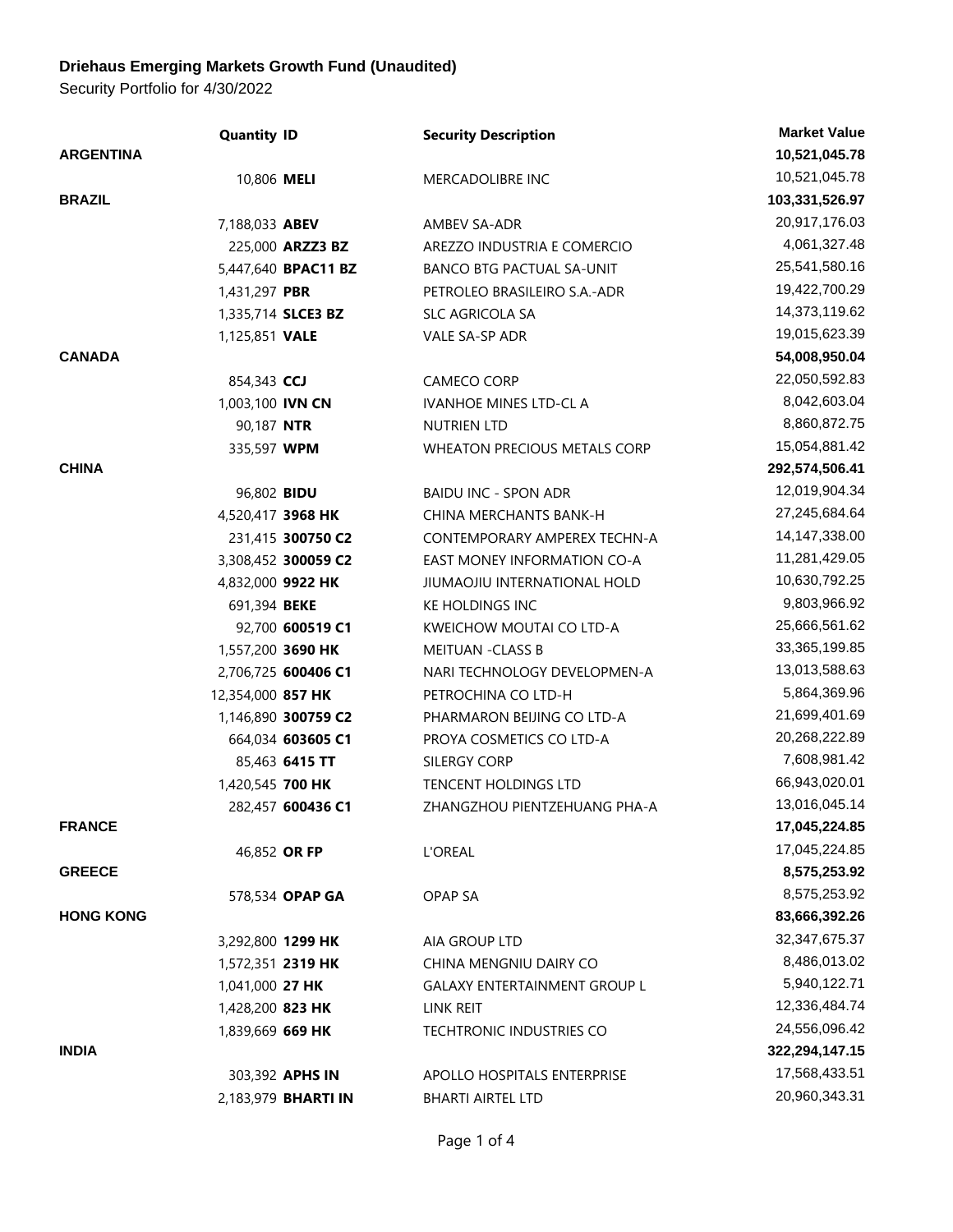## **Driehaus Emerging Markets Growth Fund (Unaudited)**

Security Portfolio for 4/30/2022

|                  | <b>Quantity ID</b> |                            | <b>Security Description</b>         | <b>Market Value</b> |
|------------------|--------------------|----------------------------|-------------------------------------|---------------------|
| <b>ARGENTINA</b> |                    |                            |                                     | 10,521,045.78       |
|                  | 10,806 MELI        |                            | MERCADOLIBRE INC                    | 10,521,045.78       |
| <b>BRAZIL</b>    |                    |                            |                                     | 103,331,526.97      |
|                  | 7,188,033 ABEV     |                            | AMBEV SA-ADR                        | 20,917,176.03       |
|                  |                    | 225,000 ARZZ3 BZ           | AREZZO INDUSTRIA E COMERCIO         | 4,061,327.48        |
|                  |                    | 5,447,640 BPAC11 BZ        | BANCO BTG PACTUAL SA-UNIT           | 25,541,580.16       |
|                  | 1,431,297 PBR      |                            | PETROLEO BRASILEIRO S.A.-ADR        | 19,422,700.29       |
|                  | 1,335,714 SLCE3 BZ |                            | <b>SLC AGRICOLA SA</b>              | 14,373,119.62       |
|                  | 1,125,851 VALE     |                            | VALE SA-SP ADR                      | 19,015,623.39       |
| <b>CANADA</b>    |                    |                            |                                     | 54,008,950.04       |
|                  | 854,343 CCJ        |                            | CAMECO CORP                         | 22,050,592.83       |
|                  | 1,003,100 IVN CN   |                            | <b>IVANHOE MINES LTD-CL A</b>       | 8,042,603.04        |
|                  | 90,187 NTR         |                            | NUTRIEN LTD                         | 8,860,872.75        |
|                  | 335,597 WPM        |                            | WHEATON PRECIOUS METALS CORP        | 15,054,881.42       |
| <b>CHINA</b>     |                    |                            |                                     | 292,574,506.41      |
|                  | 96,802 <b>BIDU</b> |                            | <b>BAIDU INC - SPON ADR</b>         | 12,019,904.34       |
|                  | 4,520,417 3968 HK  |                            | CHINA MERCHANTS BANK-H              | 27,245,684.64       |
|                  |                    | 231,415 300750 C2          | CONTEMPORARY AMPEREX TECHN-A        | 14,147,338.00       |
|                  |                    | 3,308,452 300059 C2        | EAST MONEY INFORMATION CO-A         | 11,281,429.05       |
|                  | 4,832,000 9922 HK  |                            | JIUMAOJIU INTERNATIONAL HOLD        | 10,630,792.25       |
|                  | 691,394 BEKE       |                            | <b>KE HOLDINGS INC</b>              | 9,803,966.92        |
|                  |                    | 92,700 600519 C1           | KWEICHOW MOUTAI CO LTD-A            | 25,666,561.62       |
|                  | 1,557,200 3690 HK  |                            | <b>MEITUAN -CLASS B</b>             | 33,365,199.85       |
|                  |                    | 2,706,725 600406 C1        | NARI TECHNOLOGY DEVELOPMEN-A        | 13,013,588.63       |
|                  | 12,354,000 857 HK  |                            | PETROCHINA CO LTD-H                 | 5,864,369.96        |
|                  |                    | 1,146,890 300759 C2        | PHARMARON BEIJING CO LTD-A          | 21,699,401.69       |
|                  |                    | 664,034 603605 C1          | PROYA COSMETICS CO LTD-A            | 20,268,222.89       |
|                  |                    | 85,463 6415 TT             | SILERGY CORP                        | 7,608,981.42        |
|                  | 1,420,545 700 HK   |                            | TENCENT HOLDINGS LTD                | 66,943,020.01       |
|                  |                    | 282,457 600436 C1          | ZHANGZHOU PIENTZEHUANG PHA-A        | 13,016,045.14       |
| <b>FRANCE</b>    |                    |                            |                                     | 17,045,224.85       |
|                  | 46,852 OR FP       |                            | <b>L'OREAL</b>                      | 17,045,224.85       |
| <b>GREECE</b>    |                    |                            |                                     | 8,575,253.92        |
|                  |                    | 578,534 OPAP GA            | OPAP SA                             | 8,575,253.92        |
| <b>HONG KONG</b> |                    |                            |                                     | 83,666,392.26       |
|                  | 3,292,800 1299 HK  |                            | AIA GROUP LTD                       | 32, 347, 675. 37    |
|                  | 1,572,351 2319 HK  |                            | CHINA MENGNIU DAIRY CO              | 8,486,013.02        |
|                  | 1,041,000 27 HK    |                            | <b>GALAXY ENTERTAINMENT GROUP L</b> | 5,940,122.71        |
|                  | 1,428,200 823 HK   |                            | LINK REIT                           | 12,336,484.74       |
|                  | 1,839,669 669 HK   |                            | <b>TECHTRONIC INDUSTRIES CO</b>     | 24,556,096.42       |
| <b>INDIA</b>     |                    |                            |                                     | 322,294,147.15      |
|                  |                    | 303,392 APHS IN            | APOLLO HOSPITALS ENTERPRISE         | 17,568,433.51       |
|                  |                    | 2,183,979 <b>BHARTI IN</b> | <b>BHARTI AIRTEL LTD</b>            | 20,960,343.31       |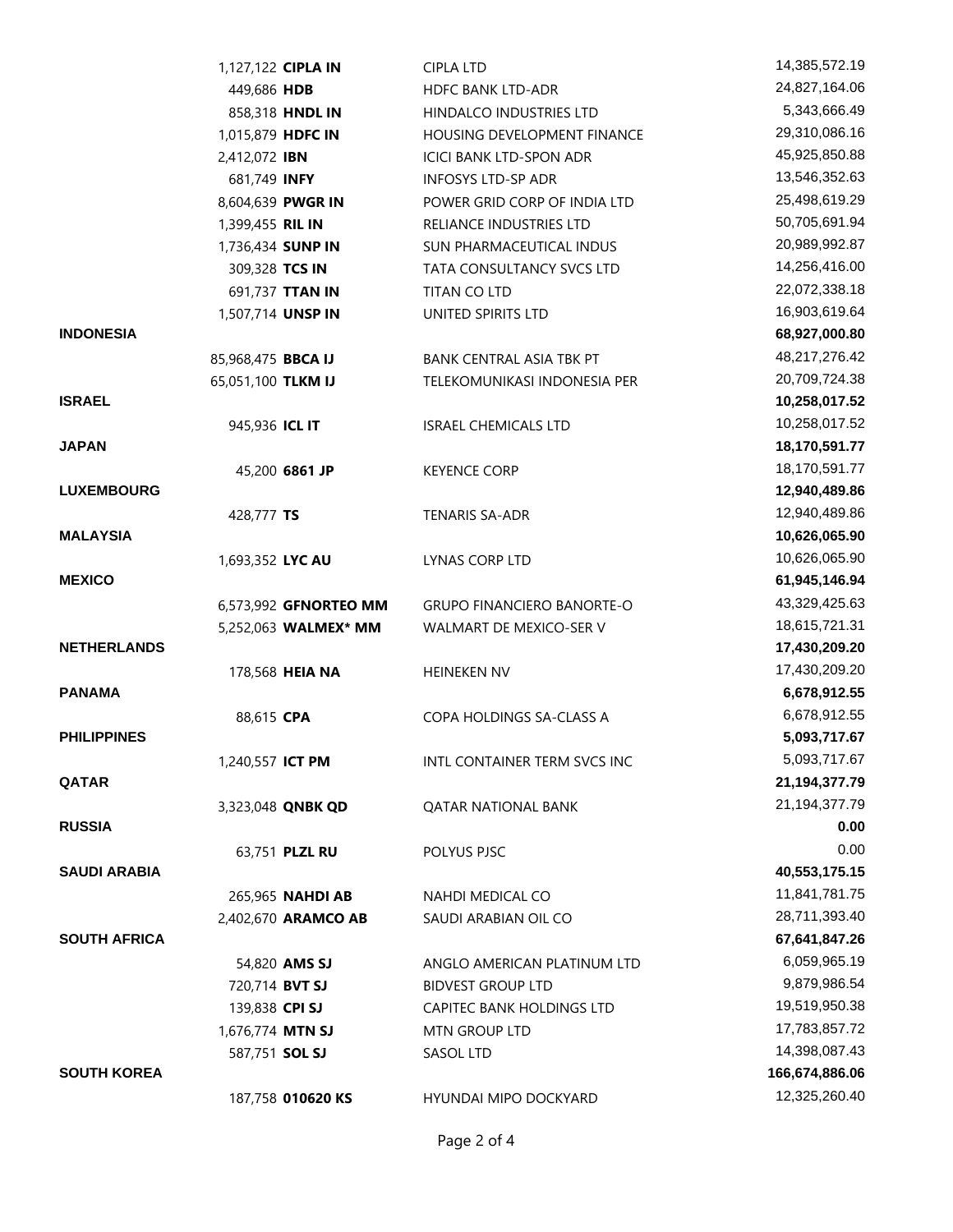|                     | 1,127,122 CIPLA IN      | <b>CIPLA LTD</b>                  | 14,385,572.19    |
|---------------------|-------------------------|-----------------------------------|------------------|
|                     | 449,686 HDB             | <b>HDFC BANK LTD-ADR</b>          | 24,827,164.06    |
|                     | 858,318 HNDL IN         | HINDALCO INDUSTRIES LTD           | 5,343,666.49     |
|                     | 1,015,879 HDFC IN       | HOUSING DEVELOPMENT FINANCE       | 29,310,086.16    |
|                     | 2,412,072 IBN           | <b>ICICI BANK LTD-SPON ADR</b>    | 45,925,850.88    |
|                     | 681,749 INFY            | <b>INFOSYS LTD-SP ADR</b>         | 13,546,352.63    |
|                     | 8,604,639 PWGR IN       | POWER GRID CORP OF INDIA LTD      | 25,498,619.29    |
|                     | 1,399,455 RIL IN        | RELIANCE INDUSTRIES LTD           | 50,705,691.94    |
|                     | 1,736,434 SUNP IN       | SUN PHARMACEUTICAL INDUS          | 20,989,992.87    |
|                     | 309,328 TCS IN          | TATA CONSULTANCY SVCS LTD         | 14,256,416.00    |
|                     | 691,737 TTAN IN         | TITAN CO LTD                      | 22,072,338.18    |
|                     | 1,507,714 UNSP IN       | UNITED SPIRITS LTD                | 16,903,619.64    |
| <b>INDONESIA</b>    |                         |                                   | 68,927,000.80    |
|                     | 85,968,475 BBCA IJ      | BANK CENTRAL ASIA TBK PT          | 48,217,276.42    |
|                     | 65,051,100 TLKM IJ      | TELEKOMUNIKASI INDONESIA PER      | 20,709,724.38    |
| <b>ISRAEL</b>       |                         |                                   | 10,258,017.52    |
|                     | 945,936 ICL IT          | <b>ISRAEL CHEMICALS LTD</b>       | 10,258,017.52    |
| <b>JAPAN</b>        |                         |                                   | 18,170,591.77    |
|                     | 45,200 6861 JP          | <b>KEYENCE CORP</b>               | 18,170,591.77    |
| <b>LUXEMBOURG</b>   |                         |                                   | 12,940,489.86    |
|                     | 428,777 TS              | TENARIS SA-ADR                    | 12,940,489.86    |
| <b>MALAYSIA</b>     |                         |                                   | 10,626,065.90    |
|                     | 1,693,352 LYC AU        | LYNAS CORP LTD                    | 10,626,065.90    |
| <b>MEXICO</b>       |                         |                                   | 61,945,146.94    |
|                     | 6,573,992 GFNORTEO MM   | <b>GRUPO FINANCIERO BANORTE-O</b> | 43,329,425.63    |
|                     | 5,252,063 WALMEX* MM    | WALMART DE MEXICO-SER V           | 18,615,721.31    |
| <b>NETHERLANDS</b>  |                         |                                   | 17,430,209.20    |
|                     | 178,568 HEIA NA         | HEINEKEN NV                       | 17,430,209.20    |
| <b>PANAMA</b>       |                         |                                   | 6,678,912.55     |
|                     | 88,615 CPA              | COPA HOLDINGS SA-CLASS A          | 6,678,912.55     |
| <b>PHILIPPINES</b>  |                         |                                   | 5,093,717.67     |
|                     | 1,240,557 <b>ICT PM</b> | INTL CONTAINER TERM SVCS INC      | 5,093,717.67     |
| QATAR               |                         |                                   | 21, 194, 377. 79 |
|                     | 3,323,048 QNBK QD       | <b>QATAR NATIONAL BANK</b>        | 21,194,377.79    |
| <b>RUSSIA</b>       |                         |                                   | 0.00             |
|                     | 63,751 PLZL RU          | POLYUS PJSC                       | 0.00             |
| <b>SAUDI ARABIA</b> |                         |                                   | 40,553,175.15    |
|                     | 265,965 NAHDI AB        | <b>NAHDI MEDICAL CO</b>           | 11,841,781.75    |
|                     | 2,402,670 ARAMCO AB     | SAUDI ARABIAN OIL CO              | 28,711,393.40    |
| <b>SOUTH AFRICA</b> |                         |                                   | 67,641,847.26    |
|                     | 54,820 AMS SJ           | ANGLO AMERICAN PLATINUM LTD       | 6,059,965.19     |
|                     | 720,714 BVT SJ          | <b>BIDVEST GROUP LTD</b>          | 9,879,986.54     |
|                     | 139,838 CPI SJ          | CAPITEC BANK HOLDINGS LTD         | 19,519,950.38    |
|                     | 1,676,774 MTN SJ        | MTN GROUP LTD                     | 17,783,857.72    |
|                     | 587,751 SOL SJ          | SASOL LTD                         | 14,398,087.43    |
| <b>SOUTH KOREA</b>  |                         |                                   | 166,674,886.06   |
|                     | 187,758 010620 KS       | HYUNDAI MIPO DOCKYARD             | 12,325,260.40    |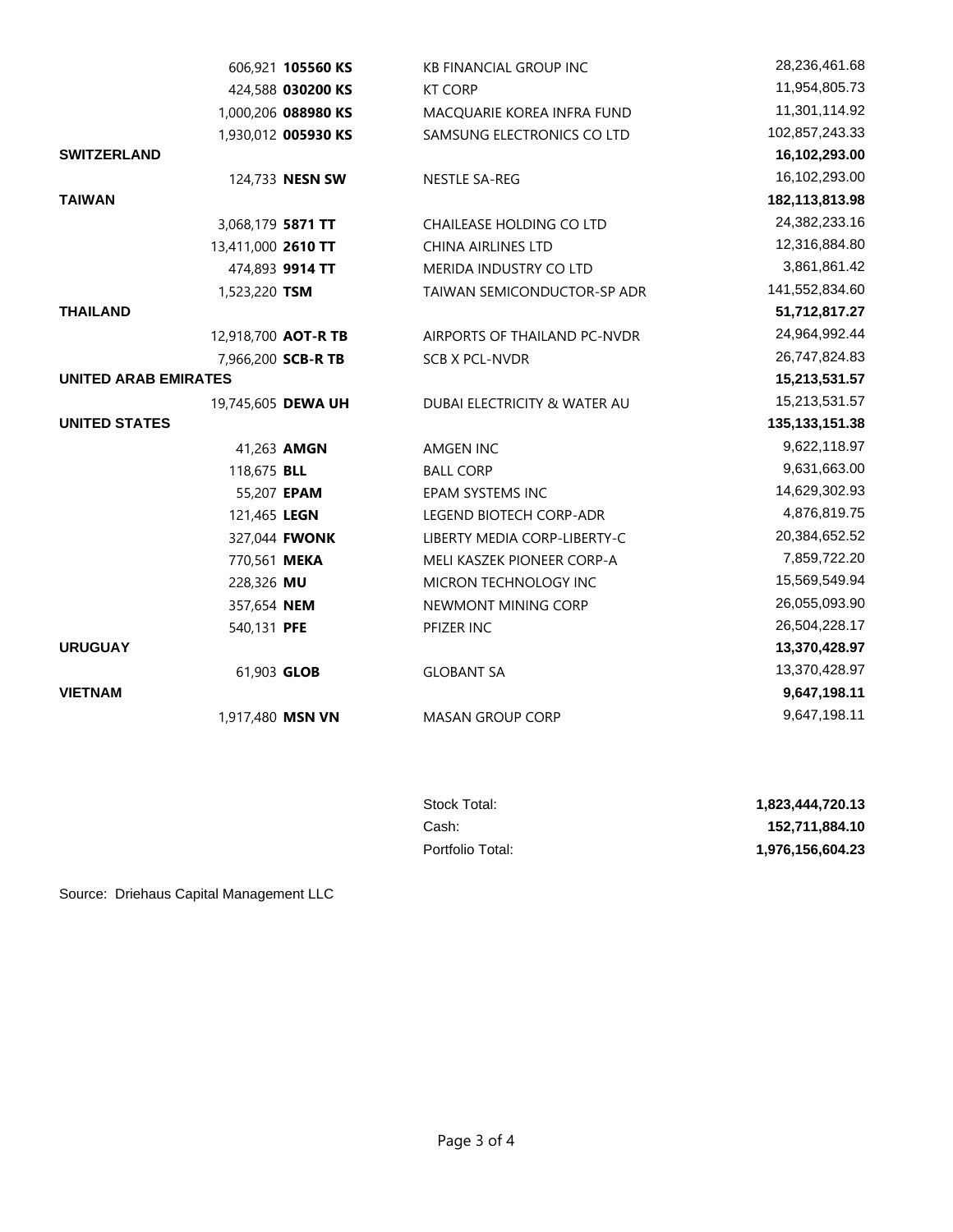|                             | 606,921 105560 KS   | <b>KB FINANCIAL GROUP INC</b> | 28,236,461.68     |
|-----------------------------|---------------------|-------------------------------|-------------------|
|                             | 424,588 030200 KS   | <b>KT CORP</b>                | 11,954,805.73     |
|                             | 1,000,206 088980 KS | MACQUARIE KOREA INFRA FUND    | 11,301,114.92     |
|                             | 1,930,012 005930 KS | SAMSUNG ELECTRONICS CO LTD    | 102,857,243.33    |
| <b>SWITZERLAND</b>          |                     |                               | 16,102,293.00     |
|                             | 124,733 NESN SW     | NESTLE SA-REG                 | 16,102,293.00     |
| <b>TAIWAN</b>               |                     |                               | 182,113,813.98    |
| 3,068,179 5871 TT           |                     | CHAILEASE HOLDING CO LTD      | 24,382,233.16     |
| 13,411,000 2610 TT          |                     | <b>CHINA AIRLINES LTD</b>     | 12,316,884.80     |
|                             | 474,893 9914 TT     | MERIDA INDUSTRY CO LTD        | 3,861,861.42      |
| 1,523,220 TSM               |                     | TAIWAN SEMICONDUCTOR-SP ADR   | 141,552,834.60    |
| <b>THAILAND</b>             |                     |                               | 51,712,817.27     |
| 12,918,700 AOT-R TB         |                     | AIRPORTS OF THAILAND PC-NVDR  | 24,964,992.44     |
|                             | 7,966,200 SCB-R TB  | SCB X PCL-NVDR                | 26,747,824.83     |
| <b>UNITED ARAB EMIRATES</b> |                     |                               | 15,213,531.57     |
| 19,745,605 DEWA UH          |                     | DUBAI ELECTRICITY & WATER AU  | 15,213,531.57     |
| <b>UNITED STATES</b>        |                     |                               | 135, 133, 151. 38 |
|                             | 41,263 AMGN         | AMGEN INC                     | 9,622,118.97      |
| 118,675 BLL                 |                     | <b>BALL CORP</b>              | 9,631,663.00      |
| 55,207 EPAM                 |                     | EPAM SYSTEMS INC              | 14,629,302.93     |
| 121,465 LEGN                |                     | LEGEND BIOTECH CORP-ADR       | 4,876,819.75      |
|                             | 327,044 FWONK       | LIBERTY MEDIA CORP-LIBERTY-C  | 20,384,652.52     |
| 770,561 MEKA                |                     | MELI KASZEK PIONEER CORP-A    | 7,859,722.20      |
| 228,326 MU                  |                     | MICRON TECHNOLOGY INC         | 15,569,549.94     |
| 357,654 NEM                 |                     | NEWMONT MINING CORP           | 26,055,093.90     |
| 540,131 PFE                 |                     | PFIZER INC                    | 26,504,228.17     |
| <b>URUGUAY</b>              |                     |                               | 13,370,428.97     |
| 61,903 GLOB                 |                     | <b>GLOBANT SA</b>             | 13,370,428.97     |
| <b>VIETNAM</b>              |                     |                               | 9,647,198.11      |
| 1,917,480 MSN VN            |                     | <b>MASAN GROUP CORP</b>       | 9,647,198.11      |

| Stock Total:     | 1.823.444.720.13 |
|------------------|------------------|
| Cash:            | 152.711.884.10   |
| Portfolio Total: | 1.976.156.604.23 |

Source: Driehaus Capital Management LLC